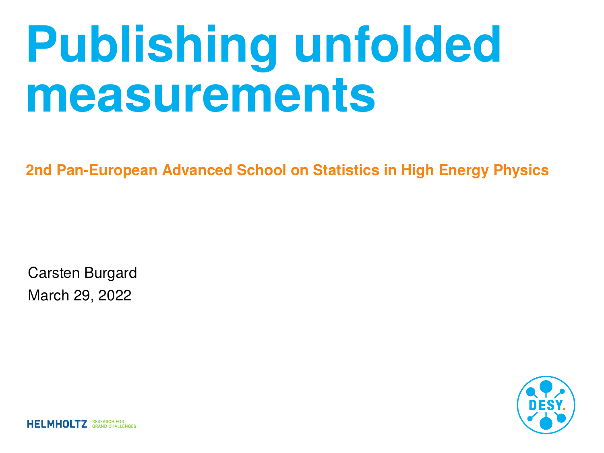# **Publishing unfolded measurements**

**2nd Pan-European Advanced School on Statistics in High Energy Physics**

Carsten Burgard March 29, 2022



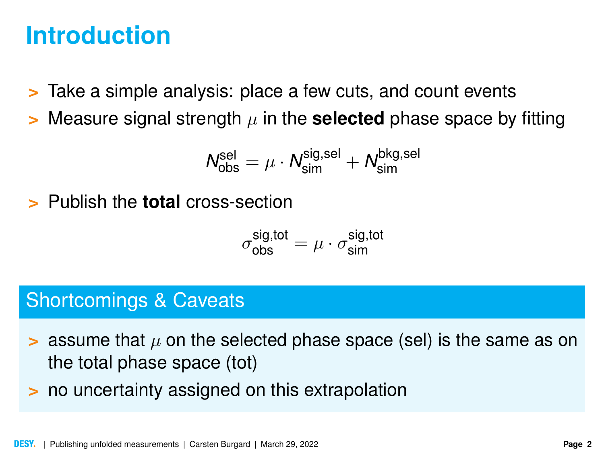### **Introduction**

- **>** Take a simple analysis: place a few cuts, and count events
- $\geq$  Measure signal strength  $\mu$  in the **selected** phase space by fitting

$$
N_{\rm obs}^{\rm sel} = \mu \cdot N_{\rm sim}^{\rm sig, sel} + N_{\rm sim}^{\rm bkg, sel}
$$

**>** Publish the **total** cross-section

$$
\sigma_{\rm obs}^{\rm sig,tot} = \mu \cdot \sigma_{\rm sim}^{\rm sig,tot}
$$

#### Shortcomings & Caveats

- $\geq$  assume that  $\mu$  on the selected phase space (sel) is the same as on the total phase space (tot)
- **>** no uncertainty assigned on this extrapolation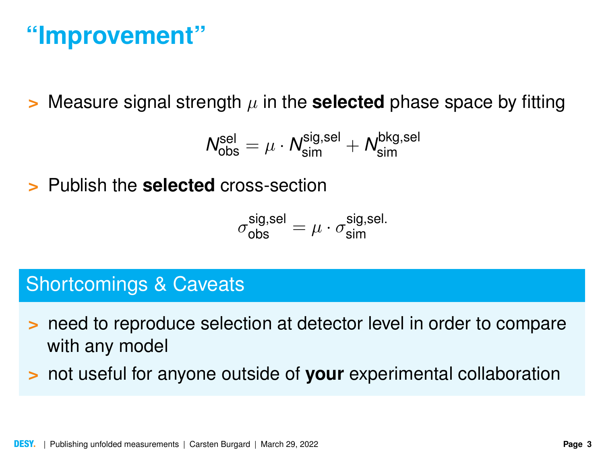### **"Improvement"**

 $\geq$  Measure signal strength  $\mu$  in the **selected** phase space by fitting

$$
\textit{N}_{\textrm{obs}}^{\textrm{sel}} = \mu \cdot \textit{N}_{\textrm{sim}}^{\textrm{sig,sel}} + \textit{N}_{\textrm{sim}}^{\textrm{bkg,sel}}
$$

**>** Publish the **selected** cross-section

$$
\sigma_{\rm obs}^{\rm sig, sel} = \mu \cdot \sigma_{\rm sim}^{\rm sig, sel.}
$$

#### Shortcomings & Caveats

- **>** need to reproduce selection at detector level in order to compare with any model
- **>** not useful for anyone outside of **your** experimental collaboration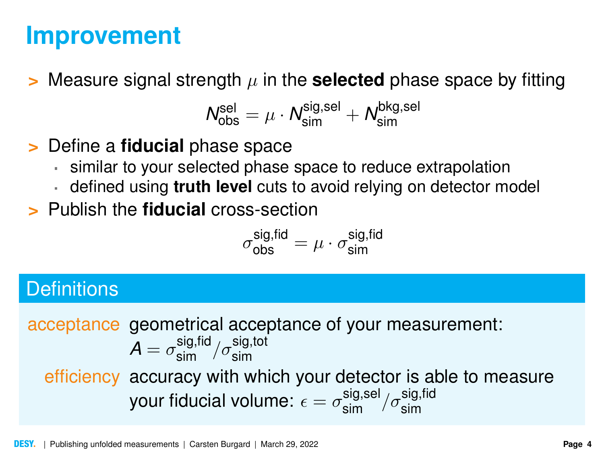### **Improvement**

**>** Measure signal strength  $\mu$  in the **selected** phase space by fitting

$$
\mathcal{N}_{\text{obs}}^{\text{sel}} = \mu \cdot \mathcal{N}_{\text{sim}}^{\text{sig,sel}} + \mathcal{N}_{\text{sim}}^{\text{bkg,sel}}
$$

**>** Define a **fiducial** phase space

- similar to your selected phase space to reduce extrapolation
- defined using **truth level** cuts to avoid relying on detector model
- **>** Publish the **fiducial** cross-section

$$
\sigma_{\rm obs}^{\rm sig,fid} = \mu \cdot \sigma_{\rm sim}^{\rm sig,fid}
$$

#### **Definitions**

acceptance geometrical acceptance of your measurement:  $\mathcal{A} = \sigma_\mathsf{sim}^\mathsf{sig, fid} / \sigma_\mathsf{sim}^\mathsf{sig, tot}$ efficiency accuracy with which your detector is able to measure your fiducial volume:  $\epsilon=\sigma_\text{sim}^\text{sig,sel}/\sigma_\text{sim}^\text{sig,fid}$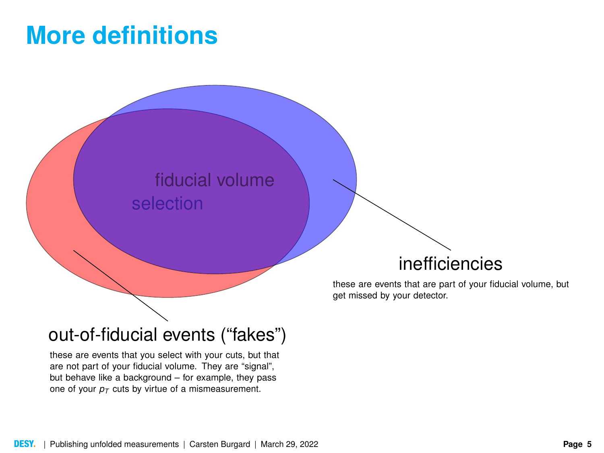### **More definitions**



#### out-of-fiducial events ("fakes")

these are events that you select with your cuts, but that are not part of your fiducial volume. They are "signal", but behave like a background – for example, they pass one of your  $p_T$  cuts by virtue of a mismeasurement.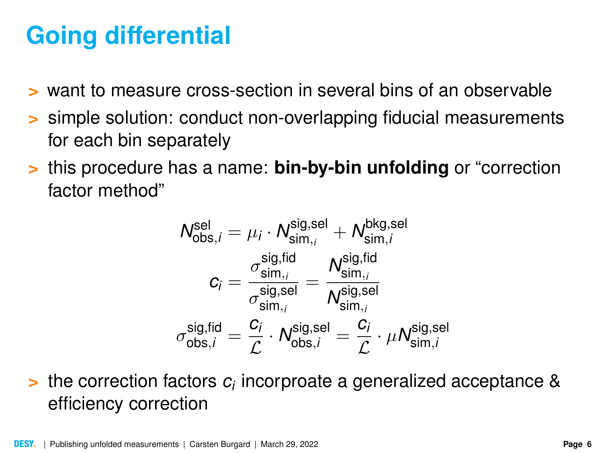# **Going differential**

- **>** want to measure cross-section in several bins of an observable
- **>** simple solution: conduct non-overlapping fiducial measurements for each bin separately
- **>** this procedure has a name: **bin-by-bin unfolding** or "correction factor method"

$$
\begin{aligned} \mathcal{N}_{\text{obs},i}^{\text{sel}} &= \mu_i \cdot \mathcal{N}_{\text{sim},i}^{\text{sig,sel}} + \mathcal{N}_{\text{sim},i}^{\text{bkg,sel}} \\ c_i &= \frac{\sigma_{\text{sim},i}^{\text{sig,fid}}}{\sigma_{\text{sim},i}^{\text{sig,sel}}} = \frac{\mathcal{N}_{\text{sim},i}^{\text{sig,fid}}}{\mathcal{N}_{\text{sim},i}^{\text{sig,sel}}} \\ \sigma_{\text{obs},i}^{\text{sig,fid}} &= \frac{c_i}{\mathcal{L}} \cdot \mathcal{N}_{\text{obs},i}^{\text{sig,sel}} = \frac{c_i}{\mathcal{L}} \cdot \mu \mathcal{N}_{\text{sim},i}^{\text{sig,sel}} \end{aligned}
$$

**>** the correction factors *c<sup>i</sup>* incorproate a generalized acceptance & efficiency correction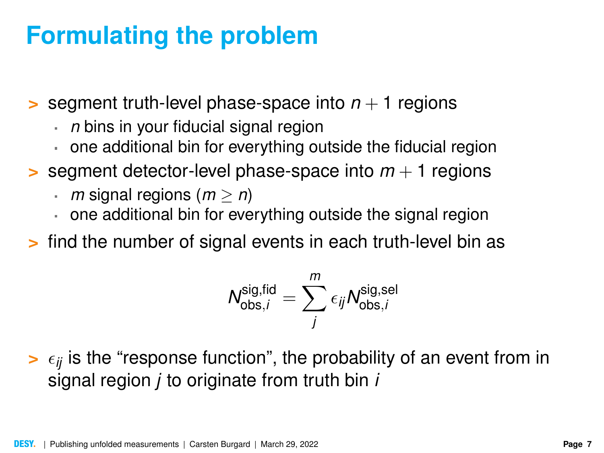### **Formulating the problem**

**>** segment truth-level phase-space into  $n + 1$  regions

- *n* bins in your fiducial signal region
- one additional bin for everything outside the fiducial region
- **>** segment detector-level phase-space into  $m + 1$  regions
	- *m* signal regions ( $m \ge n$ )
	- one additional bin for everything outside the signal region
- **>** find the number of signal events in each truth-level bin as

$$
N_{\text{obs},i}^{\text{sig,fid}} = \sum_{j}^{m} \epsilon_{ij} N_{\text{obs},i}^{\text{sig,sel}}
$$

 $\geq \epsilon_{ij}$  is the "response function", the probability of an event from in signal region *j* to originate from truth bin *i*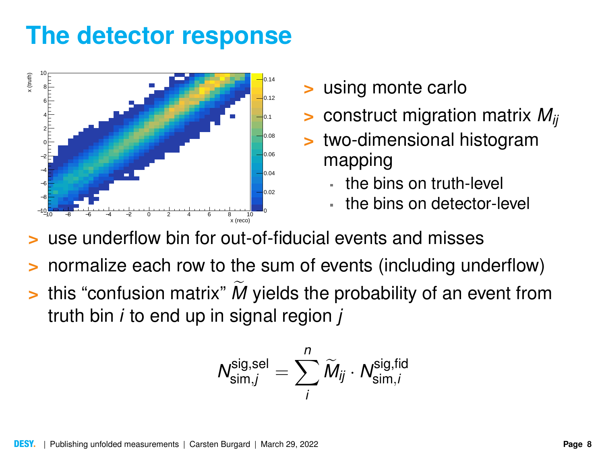# **The detector response**



- **>** using monte carlo
- **>** construct migration matrix *Mij*
- **>** two-dimensional histogram mapping
	- the bins on truth-level
	- the bins on detector-level
- **>** use underflow bin for out-of-fiducial events and misses
- **>** normalize each row to the sum of events (including underflow)
- $\geq$  this "confusion matrix"  $\vec{M}$  yields the probability of an event from truth bin *i* to end up in signal region *j*

$$
\mathcal{N}^{\text{sig,sel}}_{\text{sim},j} = \sum_i^n \widetilde{\mathcal{M}}_{ij} \cdot \mathcal{N}^{\text{sig,fid}}_{\text{sim},i}
$$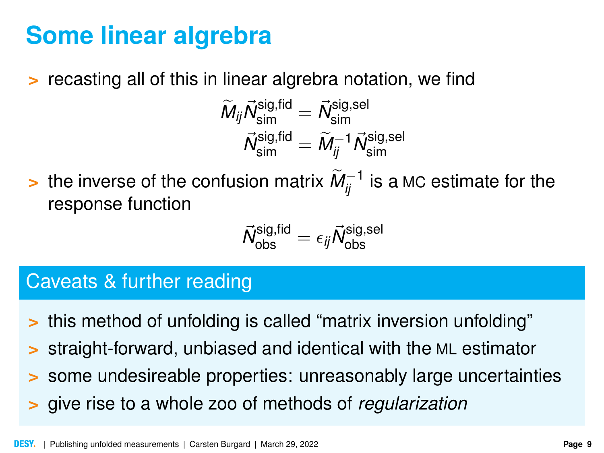# **Some linear algrebra**

**>** recasting all of this in linear algrebra notation, we find

$$
\begin{array}{l} \widetilde{M}_{ij}\vec{N}^{\text{sig,fid}}_{\text{sim}}=\vec{N}^{\text{sig,sel}}_{\text{sim}} \\ \vec{N}^{\text{sig,fid}}_{\text{sim}}=\widetilde{M}_{ij}^{-1}\vec{N}^{\text{sig,sel}}_{\text{sim}} \end{array}
$$

> the inverse of the confusion matrix  $\widetilde{M}_{ij}^{-1}$  is a MC estimate for the response function

$$
\vec{\mathit{N}}_{\textrm{obs}}^{\textrm{sig,fid}} = \epsilon_{\textrm{ij}}\vec{\mathit{N}}_{\textrm{obs}}^{\textrm{sig,sel}}
$$

#### Caveats & further reading

- **>** this method of unfolding is called "matrix inversion unfolding"
- **>** straight-forward, unbiased and identical with the ML estimator
- **>** some undesireable properties: unreasonably large uncertainties
- **>** give rise to a whole zoo of methods of *regularization*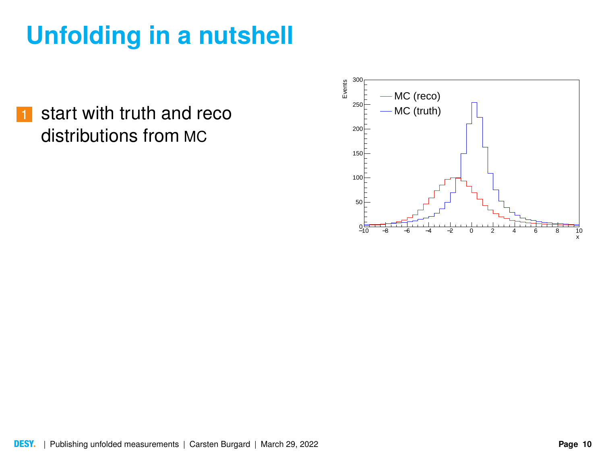**1** start with truth and reco distributions from MC

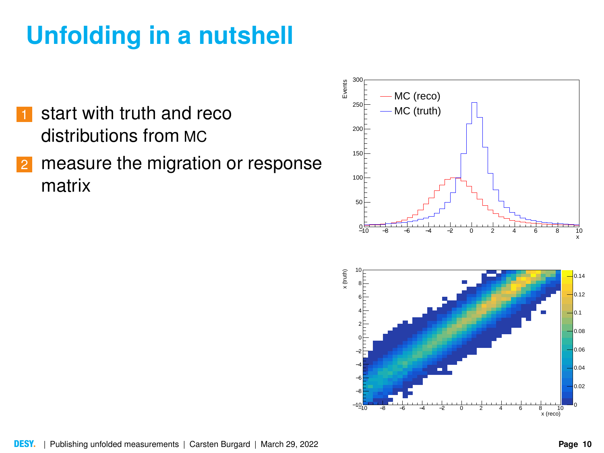- start with truth and reco distributions from MC
- 2 measure the migration or response matrix

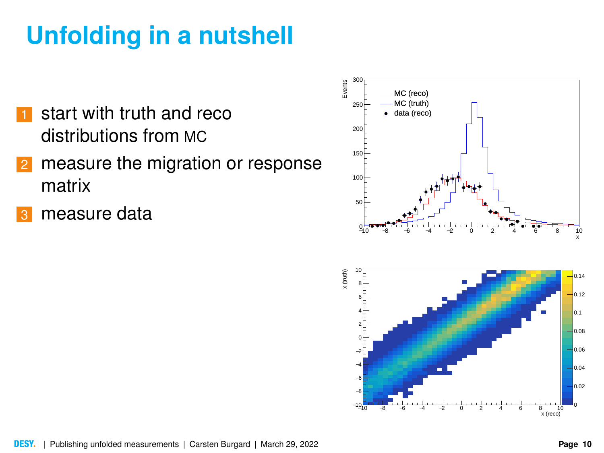- start with truth and reco distributions from MC
- 2 measure the migration or response matrix
- measure data

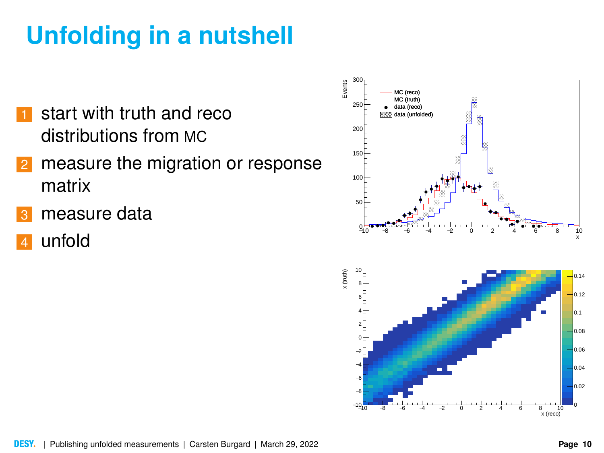- start with truth and reco distributions from MC
- 2 measure the migration or response matrix
- measure data
- unfold

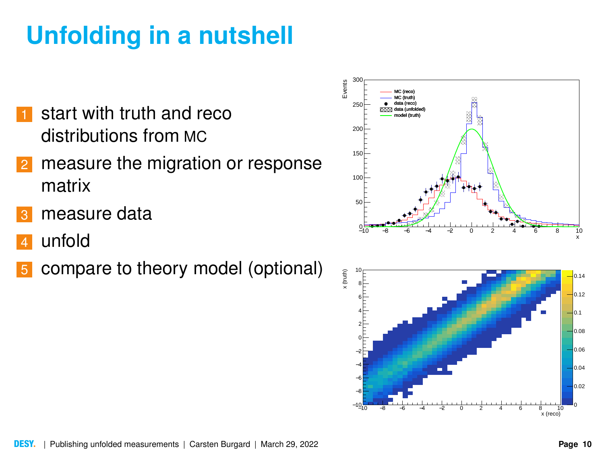- start with truth and reco distributions from MC
- 2 measure the migration or response matrix
- measure data
- unfold
- compare to theory model (optional)



−10 −8 −6 −4 −2 0 2 4 6 8 10

−10 <del>−</del> −8 −6 −4 −21⊤ 아

,<br>x (reco)

0 0.02 0.04 0.06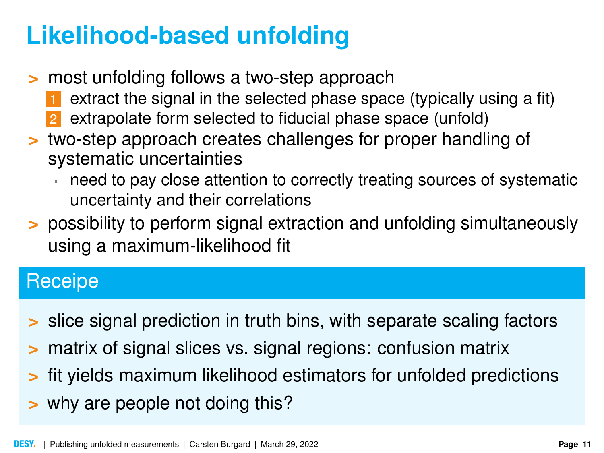# **Likelihood-based unfolding**

- **>** most unfolding follows a two-step approach
	- extract the signal in the selected phase space (typically using a fit)
	- 2 extrapolate form selected to fiducial phase space (unfold)
- **>** two-step approach creates challenges for proper handling of systematic uncertainties
	- need to pay close attention to correctly treating sources of systematic uncertainty and their correlations
- **>** possibility to perform signal extraction and unfolding simultaneously using a maximum-likelihood fit

#### Receipe

- **>** slice signal prediction in truth bins, with separate scaling factors
- **>** matrix of signal slices vs. signal regions: confusion matrix
- **>** fit yields maximum likelihood estimators for unfolded predictions
- **>** why are people not doing this?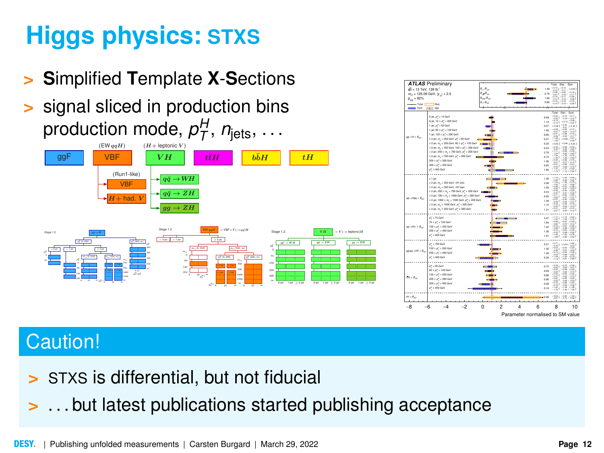# **Higgs physics: STXS**

- **> S**implified **T**emplate **X**-**S**ections
- **>** signal sliced in production bins production mode,  $p_T^H$ ,  $n_{\text{jets}}$ , ...





#### Caution!

- **>** STXS is differential, but not fiducial
- **>** . . . but latest publications started publishing acceptance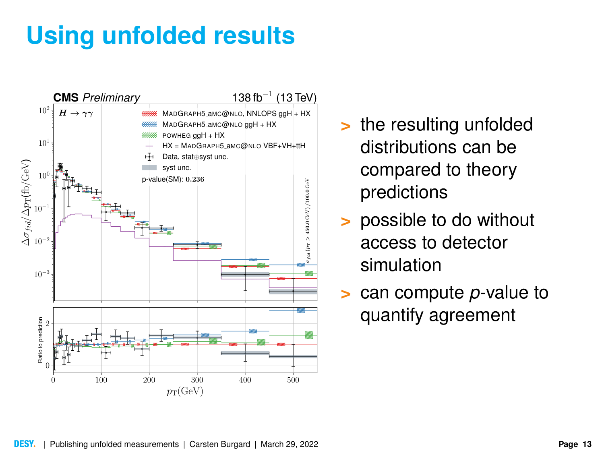# **Using unfolded results**



- **>** the resulting unfolded distributions can be compared to theory predictions
- **>** possible to do without access to detector simulation
- **>** can compute *p*-value to quantify agreement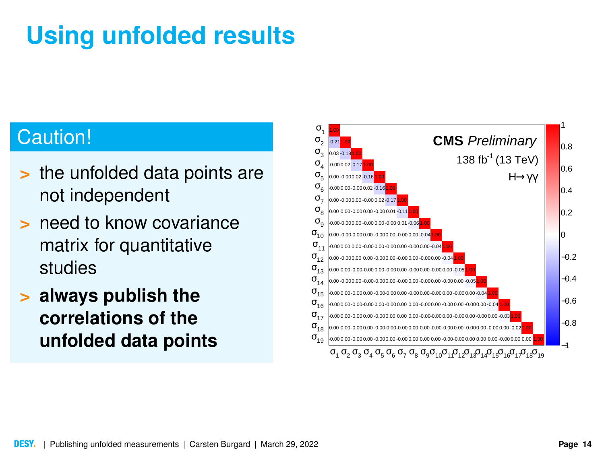# **Using unfolded results**

### Caution!

- **>** the unfolded data points are not independent
- **>** need to know covariance matrix for quantitative studies
- **> always publish the correlations of the unfolded data points**

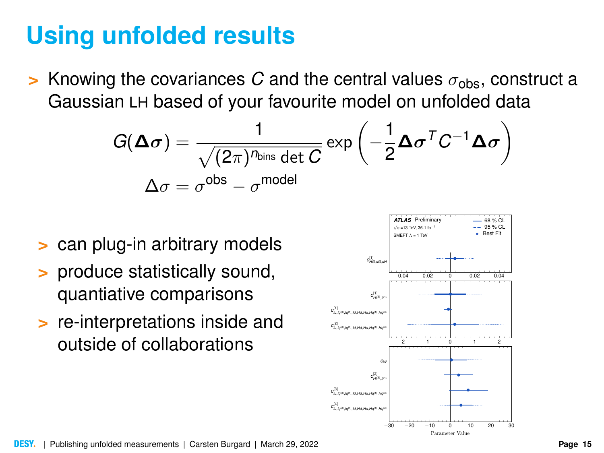### **Using unfolded results**

**>** Knowing the covariances *C* and the central values  $\sigma_{obs}$ , construct a Gaussian LH based of your favourite model on unfolded data

$$
G(\mathbf{\Delta}\boldsymbol{\sigma}) = \frac{1}{\sqrt{(2\pi)^{n_{\text{bins}}}} \det C} \exp\left(-\frac{1}{2}\mathbf{\Delta}\boldsymbol{\sigma}^{T} C^{-1} \mathbf{\Delta}\boldsymbol{\sigma}\right)
$$

$$
\Delta \boldsymbol{\sigma} = \sigma^{\text{obs}} - \sigma^{\text{model}}
$$

- **>** can plug-in arbitrary models
- **>** produce statistically sound, quantiative comparisons
- **>** re-interpretations inside and outside of collaborations